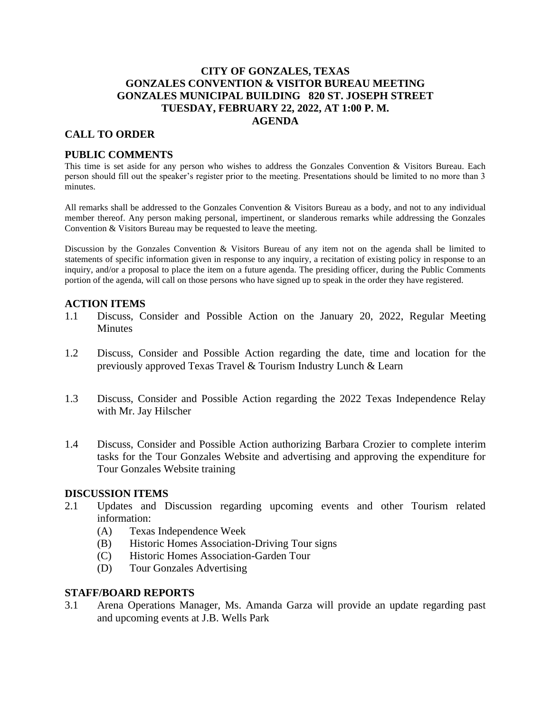# **CITY OF GONZALES, TEXAS GONZALES CONVENTION & VISITOR BUREAU MEETING GONZALES MUNICIPAL BUILDING 820 ST. JOSEPH STREET TUESDAY, FEBRUARY 22, 2022, AT 1:00 P. M. AGENDA**

# **CALL TO ORDER**

# **PUBLIC COMMENTS**

This time is set aside for any person who wishes to address the Gonzales Convention & Visitors Bureau. Each person should fill out the speaker's register prior to the meeting. Presentations should be limited to no more than 3 minutes.

All remarks shall be addressed to the Gonzales Convention & Visitors Bureau as a body, and not to any individual member thereof. Any person making personal, impertinent, or slanderous remarks while addressing the Gonzales Convention & Visitors Bureau may be requested to leave the meeting.

Discussion by the Gonzales Convention & Visitors Bureau of any item not on the agenda shall be limited to statements of specific information given in response to any inquiry, a recitation of existing policy in response to an inquiry, and/or a proposal to place the item on a future agenda. The presiding officer, during the Public Comments portion of the agenda, will call on those persons who have signed up to speak in the order they have registered.

### **ACTION ITEMS**

- 1.1 Discuss, Consider and Possible Action on the January 20, 2022, Regular Meeting **Minutes**
- 1.2 Discuss, Consider and Possible Action regarding the date, time and location for the previously approved Texas Travel & Tourism Industry Lunch & Learn
- 1.3 Discuss, Consider and Possible Action regarding the 2022 Texas Independence Relay with Mr. Jay Hilscher
- 1.4 Discuss, Consider and Possible Action authorizing Barbara Crozier to complete interim tasks for the Tour Gonzales Website and advertising and approving the expenditure for Tour Gonzales Website training

### **DISCUSSION ITEMS**

- 2.1 Updates and Discussion regarding upcoming events and other Tourism related information:
	- (A) Texas Independence Week
	- (B) Historic Homes Association-Driving Tour signs
	- (C) Historic Homes Association-Garden Tour
	- (D) Tour Gonzales Advertising

### **STAFF/BOARD REPORTS**

3.1 Arena Operations Manager, Ms. Amanda Garza will provide an update regarding past and upcoming events at J.B. Wells Park